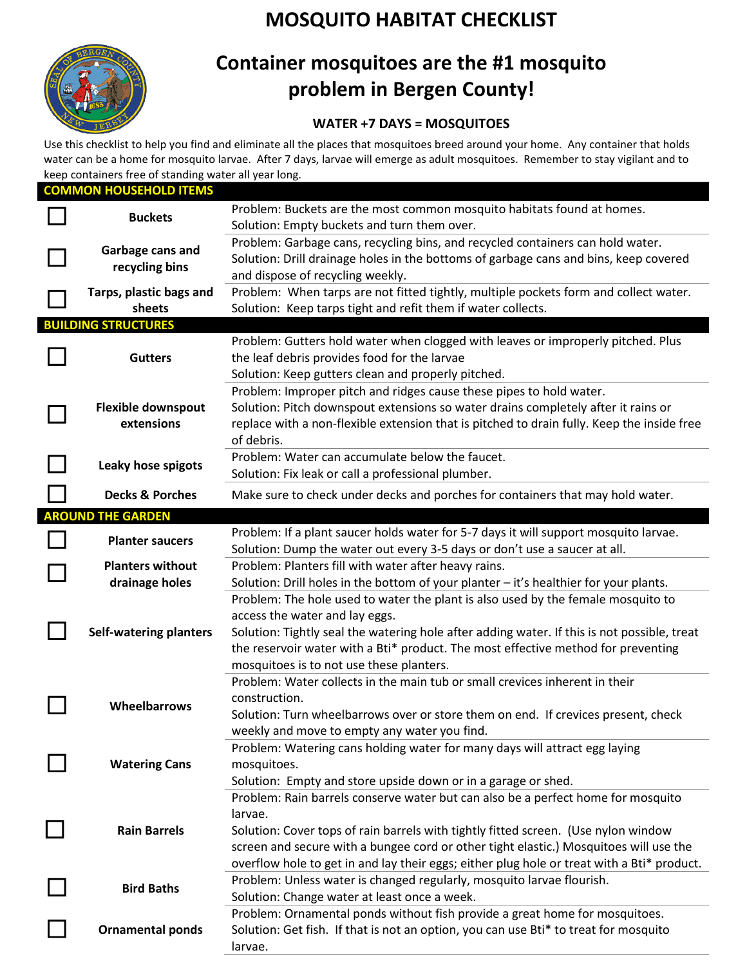

## **MOSQUITO HABITAT CHECKLIST**

## **Container mosquitoes are the #1 mosquito problem in Bergen County!**

## **WATER +7 DAYS = MOSQUITOES**

Use this checklist to help you find and eliminate all the places that mosquitoes breed around your home. Any container that holds water can be a home for mosquito larvae. After 7 days, larvae will emerge as adult mosquitoes. Remember to stay vigilant and to keep containers free of standing water all year long.

| <b>COMMON HOUSEHOLD ITEMS</b> |                                           |                                                                                                                                                                                                            |  |  |  |
|-------------------------------|-------------------------------------------|------------------------------------------------------------------------------------------------------------------------------------------------------------------------------------------------------------|--|--|--|
|                               | <b>Buckets</b>                            | Problem: Buckets are the most common mosquito habitats found at homes.<br>Solution: Empty buckets and turn them over.                                                                                      |  |  |  |
|                               | Garbage cans and<br>recycling bins        | Problem: Garbage cans, recycling bins, and recycled containers can hold water.<br>Solution: Drill drainage holes in the bottoms of garbage cans and bins, keep covered<br>and dispose of recycling weekly. |  |  |  |
|                               | Tarps, plastic bags and                   | Problem: When tarps are not fitted tightly, multiple pockets form and collect water.                                                                                                                       |  |  |  |
|                               | sheets                                    | Solution: Keep tarps tight and refit them if water collects.                                                                                                                                               |  |  |  |
| <b>BUILDING STRUCTURES</b>    |                                           |                                                                                                                                                                                                            |  |  |  |
|                               | <b>Gutters</b>                            | Problem: Gutters hold water when clogged with leaves or improperly pitched. Plus                                                                                                                           |  |  |  |
|                               |                                           | the leaf debris provides food for the larvae                                                                                                                                                               |  |  |  |
|                               |                                           | Solution: Keep gutters clean and properly pitched.                                                                                                                                                         |  |  |  |
|                               | <b>Flexible downspout</b><br>extensions   | Problem: Improper pitch and ridges cause these pipes to hold water.                                                                                                                                        |  |  |  |
|                               |                                           | Solution: Pitch downspout extensions so water drains completely after it rains or                                                                                                                          |  |  |  |
|                               |                                           | replace with a non-flexible extension that is pitched to drain fully. Keep the inside free<br>of debris.                                                                                                   |  |  |  |
|                               | Leaky hose spigots                        | Problem: Water can accumulate below the faucet.                                                                                                                                                            |  |  |  |
|                               |                                           | Solution: Fix leak or call a professional plumber.                                                                                                                                                         |  |  |  |
|                               | <b>Decks &amp; Porches</b>                | Make sure to check under decks and porches for containers that may hold water.                                                                                                                             |  |  |  |
|                               | <b>AROUND THE GARDEN</b>                  |                                                                                                                                                                                                            |  |  |  |
|                               | <b>Planter saucers</b>                    | Problem: If a plant saucer holds water for 5-7 days it will support mosquito larvae.                                                                                                                       |  |  |  |
|                               |                                           | Solution: Dump the water out every 3-5 days or don't use a saucer at all.                                                                                                                                  |  |  |  |
|                               | <b>Planters without</b><br>drainage holes | Problem: Planters fill with water after heavy rains.                                                                                                                                                       |  |  |  |
|                               |                                           | Solution: Drill holes in the bottom of your planter - it's healthier for your plants.                                                                                                                      |  |  |  |
|                               | <b>Self-watering planters</b>             | Problem: The hole used to water the plant is also used by the female mosquito to                                                                                                                           |  |  |  |
|                               |                                           | access the water and lay eggs.                                                                                                                                                                             |  |  |  |
|                               |                                           | Solution: Tightly seal the watering hole after adding water. If this is not possible, treat                                                                                                                |  |  |  |
|                               |                                           | the reservoir water with a Bti* product. The most effective method for preventing                                                                                                                          |  |  |  |
|                               |                                           | mosquitoes is to not use these planters.<br>Problem: Water collects in the main tub or small crevices inherent in their                                                                                    |  |  |  |
|                               | Wheelbarrows                              | construction.                                                                                                                                                                                              |  |  |  |
|                               |                                           | Solution: Turn wheelbarrows over or store them on end. If crevices present, check                                                                                                                          |  |  |  |
|                               |                                           | weekly and move to empty any water you find.                                                                                                                                                               |  |  |  |
|                               | <b>Watering Cans</b>                      | Problem: Watering cans holding water for many days will attract egg laying                                                                                                                                 |  |  |  |
|                               |                                           | mosquitoes.                                                                                                                                                                                                |  |  |  |
|                               |                                           | Solution: Empty and store upside down or in a garage or shed.                                                                                                                                              |  |  |  |
|                               | <b>Rain Barrels</b>                       | Problem: Rain barrels conserve water but can also be a perfect home for mosquito                                                                                                                           |  |  |  |
|                               |                                           | larvae.                                                                                                                                                                                                    |  |  |  |
|                               |                                           | Solution: Cover tops of rain barrels with tightly fitted screen. (Use nylon window                                                                                                                         |  |  |  |
|                               |                                           | screen and secure with a bungee cord or other tight elastic.) Mosquitoes will use the                                                                                                                      |  |  |  |
|                               |                                           | overflow hole to get in and lay their eggs; either plug hole or treat with a Bti* product.                                                                                                                 |  |  |  |
|                               | <b>Bird Baths</b>                         | Problem: Unless water is changed regularly, mosquito larvae flourish.                                                                                                                                      |  |  |  |
|                               |                                           | Solution: Change water at least once a week.                                                                                                                                                               |  |  |  |
|                               | <b>Ornamental ponds</b>                   | Problem: Ornamental ponds without fish provide a great home for mosquitoes.                                                                                                                                |  |  |  |
|                               |                                           | Solution: Get fish. If that is not an option, you can use Bti* to treat for mosquito                                                                                                                       |  |  |  |
|                               |                                           | larvae.                                                                                                                                                                                                    |  |  |  |